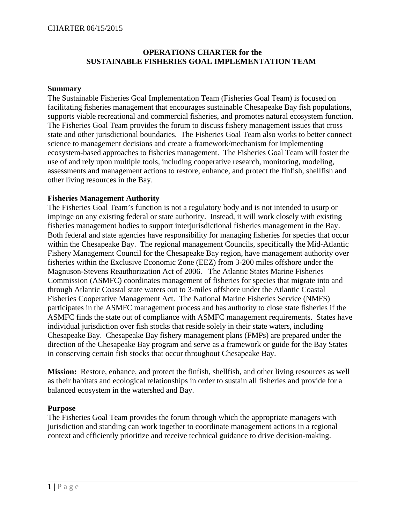#### CHARTER 06/15/2015

### **OPERATIONS CHARTER for the SUSTAINABLE FISHERIES GOAL IMPLEMENTATION TEAM**

#### **Summary**

The Sustainable Fisheries Goal Implementation Team (Fisheries Goal Team) is focused on facilitating fisheries management that encourages sustainable Chesapeake Bay fish populations, supports viable recreational and commercial fisheries, and promotes natural ecosystem function. The Fisheries Goal Team provides the forum to discuss fishery management issues that cross state and other jurisdictional boundaries. The Fisheries Goal Team also works to better connect science to management decisions and create a framework/mechanism for implementing ecosystem-based approaches to fisheries management. The Fisheries Goal Team will foster the use of and rely upon multiple tools, including cooperative research, monitoring, modeling, assessments and management actions to restore, enhance, and protect the finfish, shellfish and other living resources in the Bay.

#### **Fisheries Management Authority**

The Fisheries Goal Team's function is not a regulatory body and is not intended to usurp or impinge on any existing federal or state authority. Instead, it will work closely with existing fisheries management bodies to support interjurisdictional fisheries management in the Bay. Both federal and state agencies have responsibility for managing fisheries for species that occur within the Chesapeake Bay. The regional management Councils, specifically the Mid-Atlantic Fishery Management Council for the Chesapeake Bay region, have management authority over fisheries within the Exclusive Economic Zone (EEZ) from 3-200 miles offshore under the Magnuson-Stevens Reauthorization Act of 2006. The Atlantic States Marine Fisheries Commission (ASMFC) coordinates management of fisheries for species that migrate into and through Atlantic Coastal state waters out to 3-miles offshore under the Atlantic Coastal Fisheries Cooperative Management Act. The National Marine Fisheries Service (NMFS) participates in the ASMFC management process and has authority to close state fisheries if the ASMFC finds the state out of compliance with ASMFC management requirements. States have individual jurisdiction over fish stocks that reside solely in their state waters, including Chesapeake Bay. Chesapeake Bay fishery management plans (FMPs) are prepared under the direction of the Chesapeake Bay program and serve as a framework or guide for the Bay States in conserving certain fish stocks that occur throughout Chesapeake Bay.

**Mission:** Restore, enhance, and protect the finfish, shellfish, and other living resources as well as their habitats and ecological relationships in order to sustain all fisheries and provide for a balanced ecosystem in the watershed and Bay.

#### **Purpose**

The Fisheries Goal Team provides the forum through which the appropriate managers with jurisdiction and standing can work together to coordinate management actions in a regional context and efficiently prioritize and receive technical guidance to drive decision-making.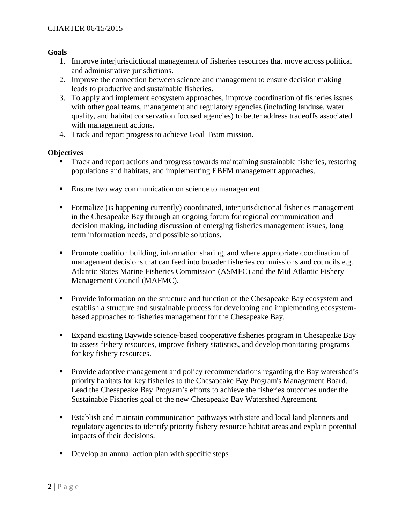#### **Goals**

- 1. Improve interjurisdictional management of fisheries resources that move across political and administrative jurisdictions.
- 2. Improve the connection between science and management to ensure decision making leads to productive and sustainable fisheries.
- 3. To apply and implement ecosystem approaches, improve coordination of fisheries issues with other goal teams, management and regulatory agencies (including landuse, water quality, and habitat conservation focused agencies) to better address tradeoffs associated with management actions.
- 4. Track and report progress to achieve Goal Team mission.

### **Objectives**

- Track and report actions and progress towards maintaining sustainable fisheries, restoring populations and habitats, and implementing EBFM management approaches.
- **Ensure two way communication on science to management**
- Formalize (is happening currently) coordinated, interjurisdictional fisheries management in the Chesapeake Bay through an ongoing forum for regional communication and decision making, including discussion of emerging fisheries management issues, long term information needs, and possible solutions.
- **Promote coalition building, information sharing, and where appropriate coordination of** management decisions that can feed into broader fisheries commissions and councils e.g. Atlantic States Marine Fisheries Commission (ASMFC) and the Mid Atlantic Fishery Management Council (MAFMC).
- **Provide information on the structure and function of the Chesapeake Bay ecosystem and** establish a structure and sustainable process for developing and implementing ecosystembased approaches to fisheries management for the Chesapeake Bay.
- Expand existing Baywide science-based cooperative fisheries program in Chesapeake Bay to assess fishery resources, improve fishery statistics, and develop monitoring programs for key fishery resources.
- **Provide adaptive management and policy recommendations regarding the Bay watershed's** priority habitats for key fisheries to the Chesapeake Bay Program's Management Board. Lead the Chesapeake Bay Program's efforts to achieve the fisheries outcomes under the Sustainable Fisheries goal of the new Chesapeake Bay Watershed Agreement.
- Establish and maintain communication pathways with state and local land planners and regulatory agencies to identify priority fishery resource habitat areas and explain potential impacts of their decisions.
- Develop an annual action plan with specific steps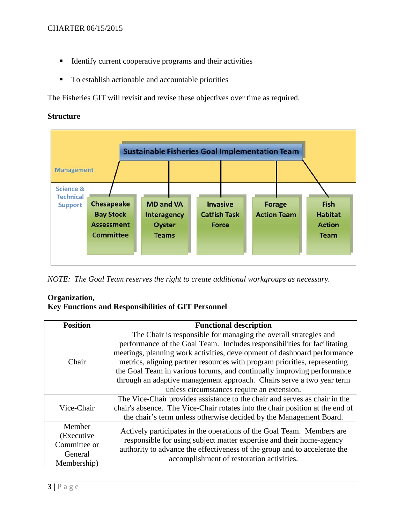- **IDENTIFY IDENTIFY CULTER COOPERATIVE PROPERTIES**
- To establish actionable and accountable priorities

The Fisheries GIT will revisit and revise these objectives over time as required.

### **Structure**



*NOTE: The Goal Team reserves the right to create additional workgroups as necessary.* 

## **Organization,**

# **Key Functions and Responsibilities of GIT Personnel**

| <b>Position</b>                                                | <b>Functional description</b>                                                                                                                                                                                                                                                                                                                                                                                                                                                                          |
|----------------------------------------------------------------|--------------------------------------------------------------------------------------------------------------------------------------------------------------------------------------------------------------------------------------------------------------------------------------------------------------------------------------------------------------------------------------------------------------------------------------------------------------------------------------------------------|
| Chair                                                          | The Chair is responsible for managing the overall strategies and<br>performance of the Goal Team. Includes responsibilities for facilitating<br>meetings, planning work activities, development of dashboard performance<br>metrics, aligning partner resources with program priorities, representing<br>the Goal Team in various forums, and continually improving performance<br>through an adaptive management approach. Chairs serve a two year term<br>unless circumstances require an extension. |
| Vice-Chair                                                     | The Vice-Chair provides assistance to the chair and serves as chair in the<br>chair's absence. The Vice-Chair rotates into the chair position at the end of<br>the chair's term unless otherwise decided by the Management Board.                                                                                                                                                                                                                                                                      |
| Member<br>(Executive<br>Committee or<br>General<br>Membership) | Actively participates in the operations of the Goal Team. Members are<br>responsible for using subject matter expertise and their home-agency<br>authority to advance the effectiveness of the group and to accelerate the<br>accomplishment of restoration activities.                                                                                                                                                                                                                                |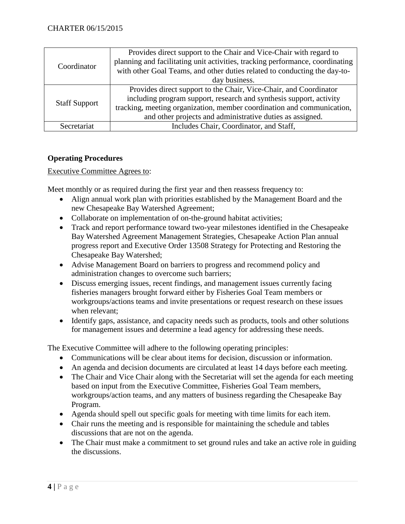| Coordinator          | Provides direct support to the Chair and Vice-Chair with regard to            |
|----------------------|-------------------------------------------------------------------------------|
|                      | planning and facilitating unit activities, tracking performance, coordinating |
|                      | with other Goal Teams, and other duties related to conducting the day-to-     |
|                      | day business.                                                                 |
| <b>Staff Support</b> | Provides direct support to the Chair, Vice-Chair, and Coordinator             |
|                      | including program support, research and synthesis support, activity           |
|                      | tracking, meeting organization, member coordination and communication,        |
|                      | and other projects and administrative duties as assigned.                     |
| Secretariat          | Includes Chair, Coordinator, and Staff,                                       |

# **Operating Procedures**

Executive Committee Agrees to:

Meet monthly or as required during the first year and then reassess frequency to:

- Align annual work plan with priorities established by the Management Board and the new Chesapeake Bay Watershed Agreement;
- Collaborate on implementation of on-the-ground habitat activities;
- Track and report performance toward two-year milestones identified in the Chesapeake Bay Watershed Agreement Management Strategies, Chesapeake Action Plan annual progress report and Executive Order 13508 Strategy for Protecting and Restoring the Chesapeake Bay Watershed;
- Advise Management Board on barriers to progress and recommend policy and administration changes to overcome such barriers;
- Discuss emerging issues, recent findings, and management issues currently facing fisheries managers brought forward either by Fisheries Goal Team members or workgroups/actions teams and invite presentations or request research on these issues when relevant;
- Identify gaps, assistance, and capacity needs such as products, tools and other solutions for management issues and determine a lead agency for addressing these needs.

The Executive Committee will adhere to the following operating principles:

- Communications will be clear about items for decision, discussion or information.
- An agenda and decision documents are circulated at least 14 days before each meeting.
- The Chair and Vice Chair along with the Secretariat will set the agenda for each meeting based on input from the Executive Committee, Fisheries Goal Team members, workgroups/action teams, and any matters of business regarding the Chesapeake Bay Program.
- Agenda should spell out specific goals for meeting with time limits for each item.
- Chair runs the meeting and is responsible for maintaining the schedule and tables discussions that are not on the agenda.
- The Chair must make a commitment to set ground rules and take an active role in guiding the discussions.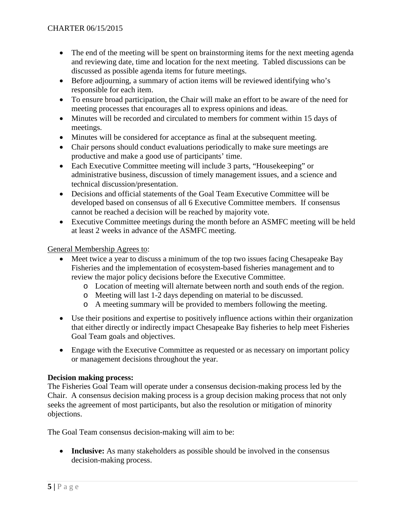- The end of the meeting will be spent on brainstorming items for the next meeting agenda and reviewing date, time and location for the next meeting. Tabled discussions can be discussed as possible agenda items for future meetings.
- Before adjourning, a summary of action items will be reviewed identifying who's responsible for each item.
- To ensure broad participation, the Chair will make an effort to be aware of the need for meeting processes that encourages all to express opinions and ideas.
- Minutes will be recorded and circulated to members for comment within 15 days of meetings.
- Minutes will be considered for acceptance as final at the subsequent meeting.
- Chair persons should conduct evaluations periodically to make sure meetings are productive and make a good use of participants' time.
- Each Executive Committee meeting will include 3 parts, "Housekeeping" or administrative business, discussion of timely management issues, and a science and technical discussion/presentation.
- Decisions and official statements of the Goal Team Executive Committee will be developed based on consensus of all 6 Executive Committee members. If consensus cannot be reached a decision will be reached by majority vote.
- Executive Committee meetings during the month before an ASMFC meeting will be held at least 2 weeks in advance of the ASMFC meeting.

## General Membership Agrees to:

- Meet twice a year to discuss a minimum of the top two issues facing Chesapeake Bay Fisheries and the implementation of ecosystem-based fisheries management and to review the major policy decisions before the Executive Committee.
	- o Location of meeting will alternate between north and south ends of the region.
	- o Meeting will last 1-2 days depending on material to be discussed.
	- o A meeting summary will be provided to members following the meeting.
- Use their positions and expertise to positively influence actions within their organization that either directly or indirectly impact Chesapeake Bay fisheries to help meet Fisheries Goal Team goals and objectives.
- Engage with the Executive Committee as requested or as necessary on important policy or management decisions throughout the year.

## **Decision making process:**

The Fisheries Goal Team will operate under a consensus decision-making process led by the Chair. A consensus decision making process is a group decision making process that not only seeks the agreement of most participants, but also the resolution or mitigation of minority objections.

The Goal Team consensus decision-making will aim to be:

• **Inclusive:** As many stakeholders as possible should be involved in the consensus decision-making process.